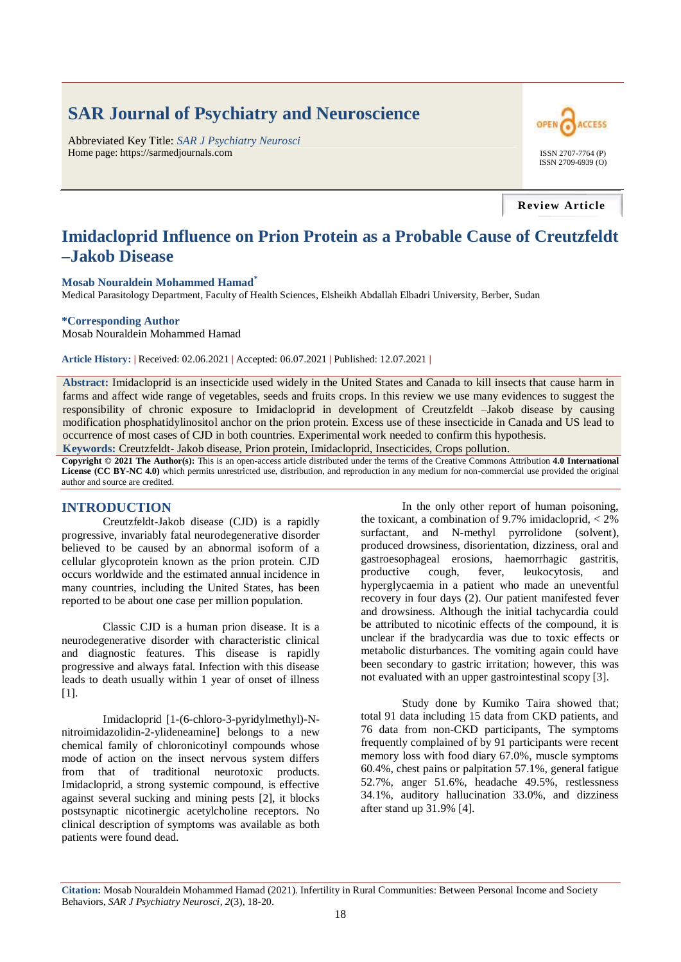# **SAR Journal of Psychiatry and Neuroscience**

Abbreviated Key Title: *SAR J Psychiatry Neurosci* Home page: https://sarmedjournals.com ISSN 2707-7764 (P)



**Review Article**

# **Imidacloprid Influence on Prion Protein as a Probable Cause of Creutzfeldt –Jakob Disease**

#### **Mosab Nouraldein Mohammed Hamad\***

Medical Parasitology Department, Faculty of Health Sciences, Elsheikh Abdallah Elbadri University, Berber, Sudan

#### **\*Corresponding Author**

Mosab Nouraldein Mohammed Hamad

**Article History: |** Received: 02.06.2021 **|** Accepted: 06.07.2021 **|** Published: 12.07.2021 **|**

**Abstract:** Imidacloprid is an insecticide used widely in the United States and Canada to kill insects that cause harm in farms and affect wide range of vegetables, seeds and fruits crops. In this review we use many evidences to suggest the responsibility of chronic exposure to Imidacloprid in development of Creutzfeldt –Jakob disease by causing modification phosphatidylinositol anchor on the prion protein. Excess use of these insecticide in Canada and US lead to occurrence of most cases of CJD in both countries. Experimental work needed to confirm this hypothesis.

**Keywords:** Creutzfeldt- Jakob disease, Prion protein, Imidacloprid, Insecticides, Crops pollution.

**Copyright © 2021 The Author(s):** This is an open-access article distributed under the terms of the Creative Commons Attribution **4.0 International License (CC BY-NC 4.0)** which permits unrestricted use, distribution, and reproduction in any medium for non-commercial use provided the original author and source are credited.

#### **INTRODUCTION**

Creutzfeldt-Jakob disease (CJD) is a rapidly progressive, invariably fatal neurodegenerative disorder believed to be caused by an abnormal isoform of a cellular glycoprotein known as the prion protein. CJD occurs worldwide and the estimated annual incidence in many countries, including the United States, has been reported to be about one case per million population.

Classic CJD is a human prion disease. It is a neurodegenerative disorder with characteristic clinical and diagnostic features. This disease is rapidly progressive and always fatal. Infection with this disease leads to death usually within 1 year of onset of illness [1].

Imidacloprid [1-(6-chloro-3-pyridylmethyl)-Nnitroimidazolidin-2-ylideneamine] belongs to a new chemical family of chloronicotinyl compounds whose mode of action on the insect nervous system differs from that of traditional neurotoxic products. Imidacloprid, a strong systemic compound, is effective against several sucking and mining pests [2], it blocks postsynaptic nicotinergic acetylcholine receptors. No clinical description of symptoms was available as both patients were found dead.

In the only other report of human poisoning, the toxicant, a combination of 9.7% imidacloprid,  $\langle 2\% \rangle$ surfactant, and N-methyl pyrrolidone (solvent), produced drowsiness, disorientation, dizziness, oral and gastroesophageal erosions, haemorrhagic gastritis, productive cough, fever, leukocytosis, and hyperglycaemia in a patient who made an uneventful recovery in four days (2). Our patient manifested fever and drowsiness. Although the initial tachycardia could be attributed to nicotinic effects of the compound, it is unclear if the bradycardia was due to toxic effects or metabolic disturbances. The vomiting again could have been secondary to gastric irritation; however, this was not evaluated with an upper gastrointestinal scopy [3].

Study done by Kumiko Taira showed that; total 91 data including 15 data from CKD patients, and 76 data from non-CKD participants, The symptoms frequently complained of by 91 participants were recent memory loss with food diary 67.0%, muscle symptoms 60.4%, chest pains or palpitation 57.1%, general fatigue 52.7%, anger 51.6%, headache 49.5%, restlessness 34.1%, auditory hallucination 33.0%, and dizziness after stand up 31.9% [4].

**Citation:** Mosab Nouraldein Mohammed Hamad (2021). Infertility in Rural Communities: Between Personal Income and Society Behaviors, *SAR J Psychiatry Neurosci*, *2*(3), 18-20.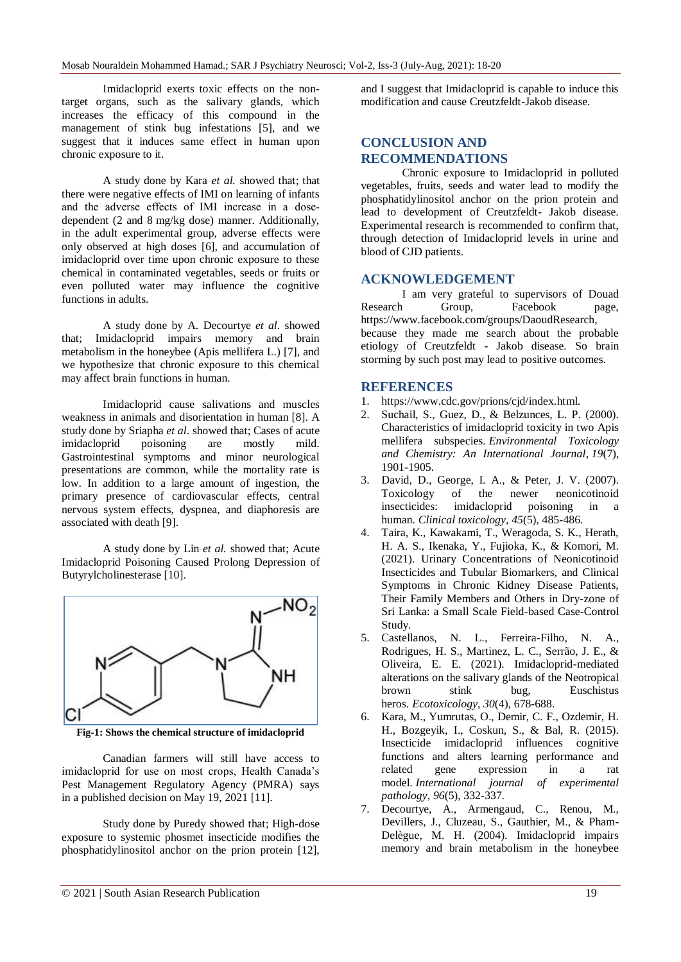Imidacloprid exerts toxic effects on the nontarget organs, such as the salivary glands, which increases the efficacy of this compound in the management of stink bug infestations [5], and we suggest that it induces same effect in human upon chronic exposure to it.

A study done by Kara *et al.* showed that; that there were negative effects of IMI on learning of infants and the adverse effects of IMI increase in a dosedependent (2 and 8 mg/kg dose) manner. Additionally, in the adult experimental group, adverse effects were only observed at high doses [6], and accumulation of imidacloprid over time upon chronic exposure to these chemical in contaminated vegetables, seeds or fruits or even polluted water may influence the cognitive functions in adults.

A study done by A. Decourtye *et al*. showed that; Imidacloprid impairs memory and brain metabolism in the honeybee (Apis mellifera L.) [7], and we hypothesize that chronic exposure to this chemical may affect brain functions in human.

Imidacloprid cause salivations and muscles weakness in animals and disorientation in human [8]. A study done by Sriapha *et al*. showed that; Cases of acute imidacloprid poisoning are mostly mild. Gastrointestinal symptoms and minor neurological presentations are common, while the mortality rate is low. In addition to a large amount of ingestion, the primary presence of cardiovascular effects, central nervous system effects, dyspnea, and diaphoresis are associated with death [9].

A study done by Lin *et al.* showed that; Acute Imidacloprid Poisoning Caused Prolong Depression of Butyrylcholinesterase [10].



**Fig-1: Shows the chemical structure of imidacloprid**

Canadian farmers will still have access to imidacloprid for use on most crops, Health Canada's Pest Management Regulatory Agency (PMRA) says in a published decision on May 19, 2021 [11].

Study done by Puredy showed that; High-dose exposure to systemic phosmet insecticide modifies the phosphatidylinositol anchor on the prion protein [12],

and I suggest that Imidacloprid is capable to induce this modification and cause Creutzfeldt-Jakob disease.

# **CONCLUSION AND RECOMMENDATIONS**

Chronic exposure to Imidacloprid in polluted vegetables, fruits, seeds and water lead to modify the phosphatidylinositol anchor on the prion protein and lead to development of Creutzfeldt- Jakob disease. Experimental research is recommended to confirm that, through detection of Imidacloprid levels in urine and blood of CJD patients.

## **ACKNOWLEDGEMENT**

I am very grateful to supervisors of Douad Research Group, Facebook page, https://www.facebook.com/groups/DaoudResearch, because they made me search about the probable etiology of Creutzfeldt - Jakob disease. So brain storming by such post may lead to positive outcomes.

### **REFERENCES**

- 1. https://www.cdc.gov/prions/cjd/index.html.
- 2. Suchail, S., Guez, D., & Belzunces, L. P. (2000). Characteristics of imidacloprid toxicity in two Apis mellifera subspecies. *Environmental Toxicology and Chemistry: An International Journal*, *19*(7), 1901-1905.
- 3. David, D., George, I. A., & Peter, J. V. (2007). Toxicology of the newer neonicotinoid insecticides: imidacloprid poisoning in a human. *Clinical toxicology*, *45*(5), 485-486.
- 4. Taira, K., Kawakami, T., Weragoda, S. K., Herath, H. A. S., Ikenaka, Y., Fujioka, K., & Komori, M. (2021). Urinary Concentrations of Neonicotinoid Insecticides and Tubular Biomarkers, and Clinical Symptoms in Chronic Kidney Disease Patients, Their Family Members and Others in Dry-zone of Sri Lanka: a Small Scale Field-based Case-Control Study.
- 5. Castellanos, N. L., Ferreira-Filho, N. A., Rodrigues, H. S., Martinez, L. C., Serrão, J. E., & Oliveira, E. E. (2021). Imidacloprid-mediated alterations on the salivary glands of the Neotropical brown stink bug, Euschistus heros. *Ecotoxicology*, *30*(4), 678-688.
- 6. Kara, M., Yumrutas, O., Demir, C. F., Ozdemir, H. H., Bozgeyik, I., Coskun, S., & Bal, R. (2015). Insecticide imidacloprid influences cognitive functions and alters learning performance and related gene expression in a rat model. *International journal of experimental pathology*, *96*(5), 332-337.
- 7. Decourtye, A., Armengaud, C., Renou, M., Devillers, J., Cluzeau, S., Gauthier, M., & Pham-Delègue, M. H. (2004). Imidacloprid impairs memory and brain metabolism in the honeybee